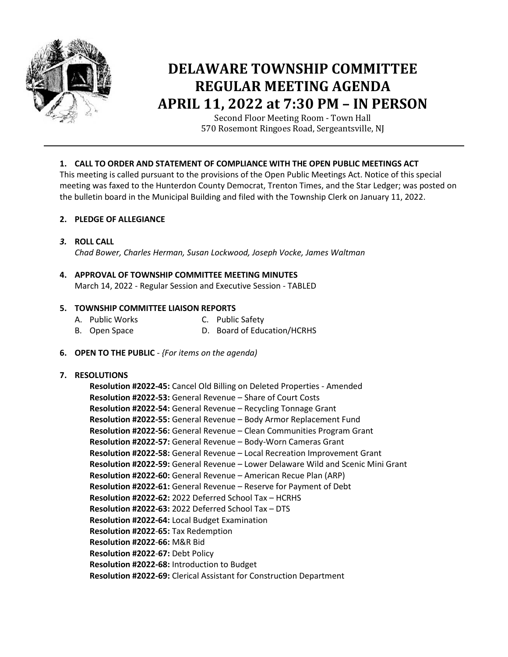

# **DELAWARE TOWNSHIP COMMITTEE REGULAR MEETING AGENDA APRIL 11, 2022 at 7:30 PM – IN PERSON**

Second Floor Meeting Room - Town Hall 570 Rosemont Ringoes Road, Sergeantsville, NJ

# **1. CALL TO ORDER AND STATEMENT OF COMPLIANCE WITH THE OPEN PUBLIC MEETINGS ACT**

This meeting is called pursuant to the provisions of the Open Public Meetings Act. Notice of this special meeting was faxed to the Hunterdon County Democrat, Trenton Times, and the Star Ledger; was posted on the bulletin board in the Municipal Building and filed with the Township Clerk on January 11, 2022.

# **2. PLEDGE OF ALLEGIANCE**

*3.* **ROLL CALL**

*Chad Bower, Charles Herman, Susan Lockwood, Joseph Vocke, James Waltman*

# **4. APPROVAL OF TOWNSHIP COMMITTEE MEETING MINUTES** March 14, 2022 - Regular Session and Executive Session - TABLED

# **5. TOWNSHIP COMMITTEE LIAISON REPORTS**

- A. Public Works C. Public Safety
- B. Open Space D. Board of Education/HCRHS
- **6. OPEN TO THE PUBLIC** *{For items on the agenda)*

## **7. RESOLUTIONS**

**Resolution #2022-45:** Cancel Old Billing on Deleted Properties - Amended **Resolution #2022-53:** General Revenue – Share of Court Costs **Resolution #2022-54:** General Revenue – Recycling Tonnage Grant **Resolution #2022-55:** General Revenue – Body Armor Replacement Fund **Resolution #2022-56:** General Revenue – Clean Communities Program Grant **Resolution #2022-57:** General Revenue – Body-Worn Cameras Grant **Resolution #2022-58:** General Revenue – Local Recreation Improvement Grant **Resolution #2022-59:** General Revenue – Lower Delaware Wild and Scenic Mini Grant **Resolution #2022-60:** General Revenue – American Recue Plan (ARP) **Resolution #2022-61:** General Revenue – Reserve for Payment of Debt **Resolution #2022-62:** 2022 Deferred School Tax – HCRHS **Resolution #2022-63:** 2022 Deferred School Tax – DTS **Resolution #2022-64:** Local Budget Examination **Resolution #2022**-**65:** Tax Redemption **Resolution #2022**-**66:** M&R Bid **Resolution #2022**-**67:** Debt Policy **Resolution #2022-68:** Introduction to Budget **Resolution #2022-69:** Clerical Assistant for Construction Department